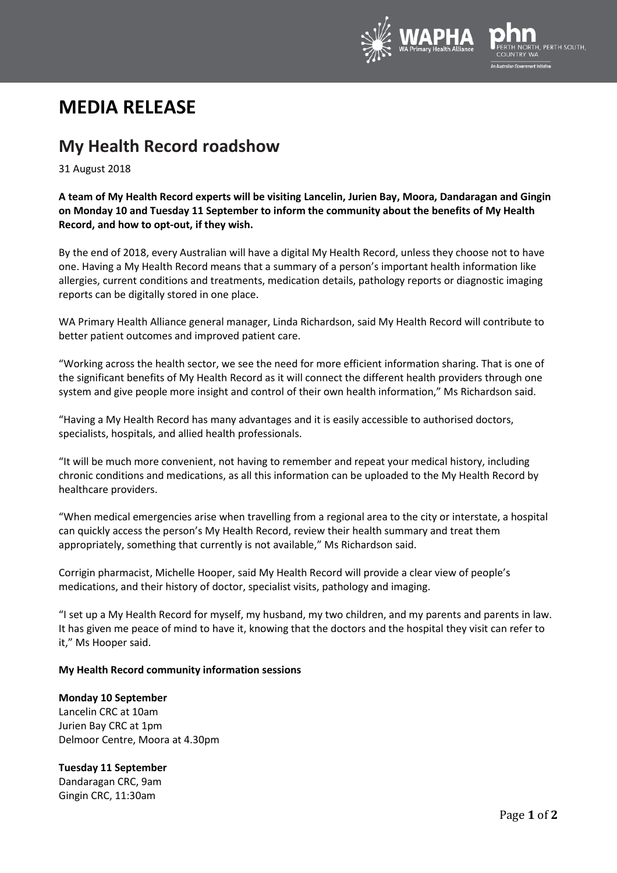

# **MEDIA RELEASE**

## **My Health Record roadshow**

31 August 2018

**A team of My Health Record experts will be visiting Lancelin, Jurien Bay, Moora, Dandaragan and Gingin on Monday 10 and Tuesday 11 September to inform the community about the benefits of My Health Record, and how to opt-out, if they wish.**

By the end of 2018, every Australian will have a digital My Health Record, unless they choose not to have one. Having a My Health Record means that a summary of a person's important health information like allergies, current conditions and treatments, medication details, pathology reports or diagnostic imaging reports can be digitally stored in one place.

WA Primary Health Alliance general manager, Linda Richardson, said My Health Record will contribute to better patient outcomes and improved patient care.

"Working across the health sector, we see the need for more efficient information sharing. That is one of the significant benefits of My Health Record as it will connect the different health providers through one system and give people more insight and control of their own health information," Ms Richardson said.

"Having a My Health Record has many advantages and it is easily accessible to authorised doctors, specialists, hospitals, and allied health professionals.

"It will be much more convenient, not having to remember and repeat your medical history, including chronic conditions and medications, as all this information can be uploaded to the My Health Record by healthcare providers.

"When medical emergencies arise when travelling from a regional area to the city or interstate, a hospital can quickly access the person's My Health Record, review their health summary and treat them appropriately, something that currently is not available," Ms Richardson said.

Corrigin pharmacist, Michelle Hooper, said My Health Record will provide a clear view of people's medications, and their history of doctor, specialist visits, pathology and imaging.

"I set up a My Health Record for myself, my husband, my two children, and my parents and parents in law. It has given me peace of mind to have it, knowing that the doctors and the hospital they visit can refer to it," Ms Hooper said.

### **My Health Record community information sessions**

### **Monday 10 September**

Lancelin CRC at 10am Jurien Bay CRC at 1pm Delmoor Centre, Moora at 4.30pm

### **Tuesday 11 September**

Dandaragan CRC, 9am Gingin CRC, 11:30am